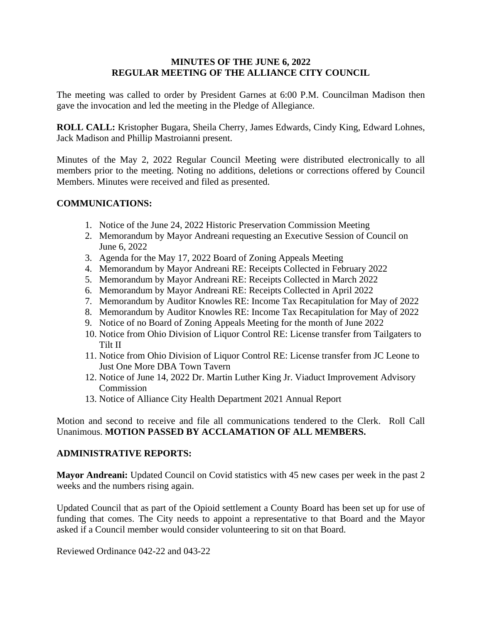## **MINUTES OF THE JUNE 6, 2022 REGULAR MEETING OF THE ALLIANCE CITY COUNCIL**

The meeting was called to order by President Garnes at 6:00 P.M. Councilman Madison then gave the invocation and led the meeting in the Pledge of Allegiance.

**ROLL CALL:** Kristopher Bugara, Sheila Cherry, James Edwards, Cindy King, Edward Lohnes, Jack Madison and Phillip Mastroianni present.

Minutes of the May 2, 2022 Regular Council Meeting were distributed electronically to all members prior to the meeting. Noting no additions, deletions or corrections offered by Council Members. Minutes were received and filed as presented.

# **COMMUNICATIONS:**

- 1. Notice of the June 24, 2022 Historic Preservation Commission Meeting
- 2. Memorandum by Mayor Andreani requesting an Executive Session of Council on June 6, 2022
- 3. Agenda for the May 17, 2022 Board of Zoning Appeals Meeting
- 4. Memorandum by Mayor Andreani RE: Receipts Collected in February 2022
- 5. Memorandum by Mayor Andreani RE: Receipts Collected in March 2022
- 6. Memorandum by Mayor Andreani RE: Receipts Collected in April 2022
- 7. Memorandum by Auditor Knowles RE: Income Tax Recapitulation for May of 2022
- 8. Memorandum by Auditor Knowles RE: Income Tax Recapitulation for May of 2022
- 9. Notice of no Board of Zoning Appeals Meeting for the month of June 2022
- 10. Notice from Ohio Division of Liquor Control RE: License transfer from Tailgaters to Tilt II
- 11. Notice from Ohio Division of Liquor Control RE: License transfer from JC Leone to Just One More DBA Town Tavern
- 12. Notice of June 14, 2022 Dr. Martin Luther King Jr. Viaduct Improvement Advisory Commission
- 13. Notice of Alliance City Health Department 2021 Annual Report

Motion and second to receive and file all communications tendered to the Clerk. Roll Call Unanimous. **MOTION PASSED BY ACCLAMATION OF ALL MEMBERS.**

### **ADMINISTRATIVE REPORTS:**

**Mayor Andreani:** Updated Council on Covid statistics with 45 new cases per week in the past 2 weeks and the numbers rising again.

Updated Council that as part of the Opioid settlement a County Board has been set up for use of funding that comes. The City needs to appoint a representative to that Board and the Mayor asked if a Council member would consider volunteering to sit on that Board.

Reviewed Ordinance 042-22 and 043-22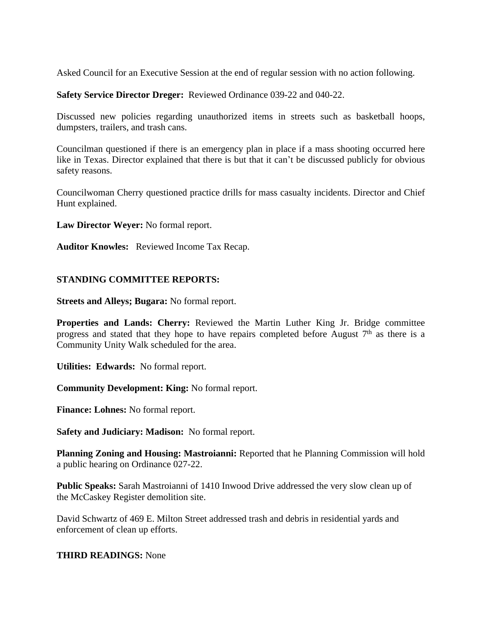Asked Council for an Executive Session at the end of regular session with no action following.

**Safety Service Director Dreger:** Reviewed Ordinance 039-22 and 040-22.

Discussed new policies regarding unauthorized items in streets such as basketball hoops, dumpsters, trailers, and trash cans.

Councilman questioned if there is an emergency plan in place if a mass shooting occurred here like in Texas. Director explained that there is but that it can't be discussed publicly for obvious safety reasons.

Councilwoman Cherry questioned practice drills for mass casualty incidents. Director and Chief Hunt explained.

**Law Director Weyer:** No formal report.

**Auditor Knowles:** Reviewed Income Tax Recap.

### **STANDING COMMITTEE REPORTS:**

**Streets and Alleys; Bugara:** No formal report.

**Properties and Lands: Cherry:** Reviewed the Martin Luther King Jr. Bridge committee progress and stated that they hope to have repairs completed before August  $7<sup>th</sup>$  as there is a Community Unity Walk scheduled for the area.

**Utilities: Edwards:** No formal report.

**Community Development: King:** No formal report.

**Finance: Lohnes:** No formal report.

**Safety and Judiciary: Madison:** No formal report.

**Planning Zoning and Housing: Mastroianni:** Reported that he Planning Commission will hold a public hearing on Ordinance 027-22.

**Public Speaks:** Sarah Mastroianni of 1410 Inwood Drive addressed the very slow clean up of the McCaskey Register demolition site.

David Schwartz of 469 E. Milton Street addressed trash and debris in residential yards and enforcement of clean up efforts.

### **THIRD READINGS:** None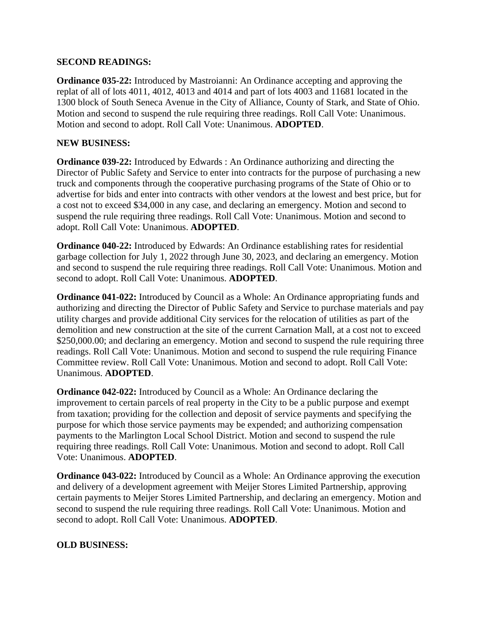## **SECOND READINGS:**

**Ordinance 035-22:** Introduced by Mastroianni: An Ordinance accepting and approving the replat of all of lots 4011, 4012, 4013 and 4014 and part of lots 4003 and 11681 located in the 1300 block of South Seneca Avenue in the City of Alliance, County of Stark, and State of Ohio. Motion and second to suspend the rule requiring three readings. Roll Call Vote: Unanimous. Motion and second to adopt. Roll Call Vote: Unanimous. **ADOPTED**.

# **NEW BUSINESS:**

**Ordinance 039-22:** Introduced by Edwards : An Ordinance authorizing and directing the Director of Public Safety and Service to enter into contracts for the purpose of purchasing a new truck and components through the cooperative purchasing programs of the State of Ohio or to advertise for bids and enter into contracts with other vendors at the lowest and best price, but for a cost not to exceed \$34,000 in any case, and declaring an emergency. Motion and second to suspend the rule requiring three readings. Roll Call Vote: Unanimous. Motion and second to adopt. Roll Call Vote: Unanimous. **ADOPTED**.

**Ordinance 040-22:** Introduced by Edwards: An Ordinance establishing rates for residential garbage collection for July 1, 2022 through June 30, 2023, and declaring an emergency. Motion and second to suspend the rule requiring three readings. Roll Call Vote: Unanimous. Motion and second to adopt. Roll Call Vote: Unanimous. **ADOPTED**.

**Ordinance 041-022:** Introduced by Council as a Whole: An Ordinance appropriating funds and authorizing and directing the Director of Public Safety and Service to purchase materials and pay utility charges and provide additional City services for the relocation of utilities as part of the demolition and new construction at the site of the current Carnation Mall, at a cost not to exceed \$250,000.00; and declaring an emergency. Motion and second to suspend the rule requiring three readings. Roll Call Vote: Unanimous. Motion and second to suspend the rule requiring Finance Committee review. Roll Call Vote: Unanimous. Motion and second to adopt. Roll Call Vote: Unanimous. **ADOPTED**.

**Ordinance 042-022:** Introduced by Council as a Whole: An Ordinance declaring the improvement to certain parcels of real property in the City to be a public purpose and exempt from taxation; providing for the collection and deposit of service payments and specifying the purpose for which those service payments may be expended; and authorizing compensation payments to the Marlington Local School District. Motion and second to suspend the rule requiring three readings. Roll Call Vote: Unanimous. Motion and second to adopt. Roll Call Vote: Unanimous. **ADOPTED**.

**Ordinance 043-022:** Introduced by Council as a Whole: An Ordinance approving the execution and delivery of a development agreement with Meijer Stores Limited Partnership, approving certain payments to Meijer Stores Limited Partnership, and declaring an emergency. Motion and second to suspend the rule requiring three readings. Roll Call Vote: Unanimous. Motion and second to adopt. Roll Call Vote: Unanimous. **ADOPTED**.

# **OLD BUSINESS:**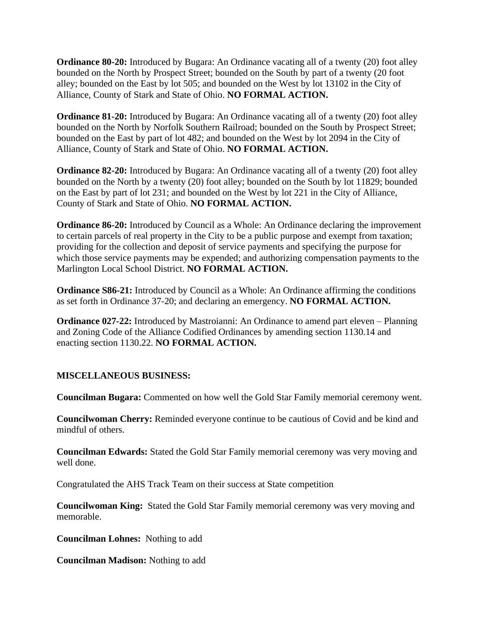**Ordinance 80-20:** Introduced by Bugara: An Ordinance vacating all of a twenty (20) foot alley bounded on the North by Prospect Street; bounded on the South by part of a twenty (20 foot alley; bounded on the East by lot 505; and bounded on the West by lot 13102 in the City of Alliance, County of Stark and State of Ohio. **NO FORMAL ACTION.**

**Ordinance 81-20:** Introduced by Bugara: An Ordinance vacating all of a twenty (20) foot alley bounded on the North by Norfolk Southern Railroad; bounded on the South by Prospect Street; bounded on the East by part of lot 482; and bounded on the West by lot 2094 in the City of Alliance, County of Stark and State of Ohio. **NO FORMAL ACTION.**

**Ordinance 82-20:** Introduced by Bugara: An Ordinance vacating all of a twenty (20) foot alley bounded on the North by a twenty (20) foot alley; bounded on the South by lot 11829; bounded on the East by part of lot 231; and bounded on the West by lot 221 in the City of Alliance, County of Stark and State of Ohio. **NO FORMAL ACTION.**

**Ordinance 86-20:** Introduced by Council as a Whole: An Ordinance declaring the improvement to certain parcels of real property in the City to be a public purpose and exempt from taxation; providing for the collection and deposit of service payments and specifying the purpose for which those service payments may be expended; and authorizing compensation payments to the Marlington Local School District. **NO FORMAL ACTION.**

**Ordinance S86-21:** Introduced by Council as a Whole: An Ordinance affirming the conditions as set forth in Ordinance 37-20; and declaring an emergency. **NO FORMAL ACTION.**

**Ordinance 027-22:** Introduced by Mastroianni: An Ordinance to amend part eleven – Planning and Zoning Code of the Alliance Codified Ordinances by amending section 1130.14 and enacting section 1130.22. **NO FORMAL ACTION.**

# **MISCELLANEOUS BUSINESS:**

**Councilman Bugara:** Commented on how well the Gold Star Family memorial ceremony went.

**Councilwoman Cherry:** Reminded everyone continue to be cautious of Covid and be kind and mindful of others.

**Councilman Edwards:** Stated the Gold Star Family memorial ceremony was very moving and well done.

Congratulated the AHS Track Team on their success at State competition

**Councilwoman King:** Stated the Gold Star Family memorial ceremony was very moving and memorable.

**Councilman Lohnes:** Nothing to add

**Councilman Madison:** Nothing to add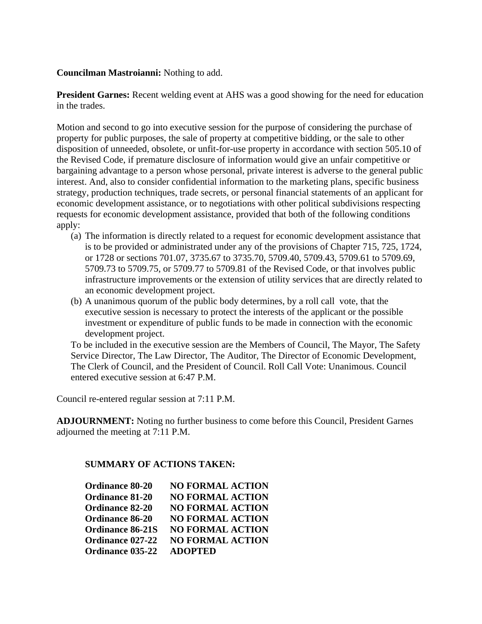#### **Councilman Mastroianni:** Nothing to add.

**President Garnes:** Recent welding event at AHS was a good showing for the need for education in the trades.

Motion and second to go into executive session for the purpose of considering the purchase of property for public purposes, the sale of property at competitive bidding, or the sale to other disposition of unneeded, obsolete, or unfit-for-use property in accordance with section 505.10 of the Revised Code, if premature disclosure of information would give an unfair competitive or bargaining advantage to a person whose personal, private interest is adverse to the general public interest. And, also to consider confidential information to the marketing plans, specific business strategy, production techniques, trade secrets, or personal financial statements of an applicant for economic development assistance, or to negotiations with other political subdivisions respecting requests for economic development assistance, provided that both of the following conditions apply:

- (a) The information is directly related to a request for economic development assistance that is to be provided or administrated under any of the provisions of Chapter 715, 725, 1724, or 1728 or sections 701.07, 3735.67 to 3735.70, 5709.40, 5709.43, 5709.61 to 5709.69, 5709.73 to 5709.75, or 5709.77 to 5709.81 of the Revised Code, or that involves public infrastructure improvements or the extension of utility services that are directly related to an economic development project.
- (b) A unanimous quorum of the public body determines, by a roll call vote, that the executive session is necessary to protect the interests of the applicant or the possible investment or expenditure of public funds to be made in connection with the economic development project.

To be included in the executive session are the Members of Council, The Mayor, The Safety Service Director, The Law Director, The Auditor, The Director of Economic Development, The Clerk of Council, and the President of Council. Roll Call Vote: Unanimous. Council entered executive session at 6:47 P.M.

Council re-entered regular session at 7:11 P.M.

**ADJOURNMENT:** Noting no further business to come before this Council, President Garnes adjourned the meeting at 7:11 P.M.

### **SUMMARY OF ACTIONS TAKEN:**

| <b>Ordinance 80-20</b>  | <b>NO FORMAL ACTION</b> |
|-------------------------|-------------------------|
| <b>Ordinance 81-20</b>  | <b>NO FORMAL ACTION</b> |
| <b>Ordinance 82-20</b>  | <b>NO FORMAL ACTION</b> |
| <b>Ordinance 86-20</b>  | <b>NO FORMAL ACTION</b> |
| <b>Ordinance 86-21S</b> | <b>NO FORMAL ACTION</b> |
| <b>Ordinance 027-22</b> | <b>NO FORMAL ACTION</b> |
| Ordinance 035-22        | <b>ADOPTED</b>          |